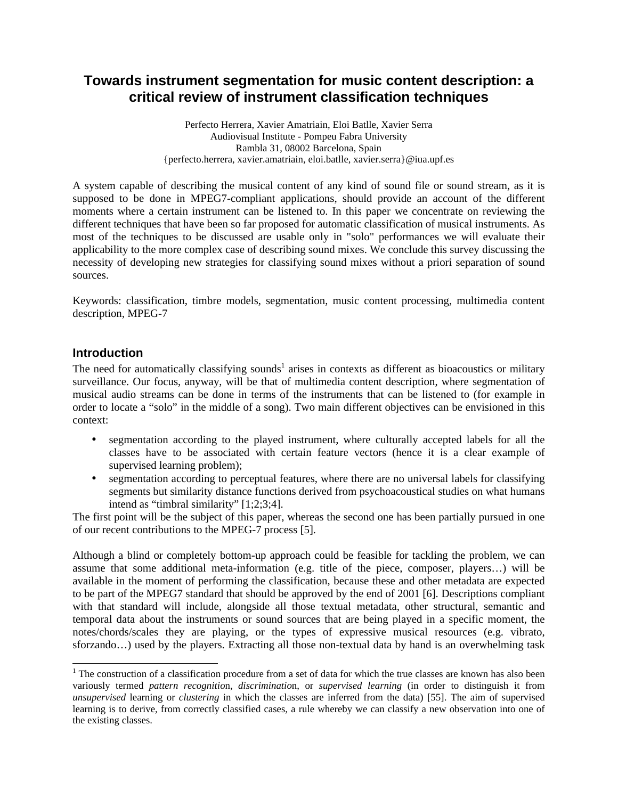# **Towards instrument segmentation for music content description: a critical review of instrument classification techniques**

Perfecto Herrera, Xavier Amatriain, Eloi Batlle, Xavier Serra Audiovisual Institute - Pompeu Fabra University Rambla 31, 08002 Barcelona, Spain {perfecto.herrera, xavier.amatriain, eloi.batlle, xavier.serra}@iua.upf.es

A system capable of describing the musical content of any kind of sound file or sound stream, as it is supposed to be done in MPEG7-compliant applications, should provide an account of the different moments where a certain instrument can be listened to. In this paper we concentrate on reviewing the different techniques that have been so far proposed for automatic classification of musical instruments. As most of the techniques to be discussed are usable only in "solo" performances we will evaluate their applicability to the more complex case of describing sound mixes. We conclude this survey discussing the necessity of developing new strategies for classifying sound mixes without a priori separation of sound sources.

Keywords: classification, timbre models, segmentation, music content processing, multimedia content description, MPEG-7

### **Introduction**

The need for automatically classifying sounds<sup>1</sup> arises in contexts as different as bioacoustics or military surveillance. Our focus, anyway, will be that of multimedia content description, where segmentation of musical audio streams can be done in terms of the instruments that can be listened to (for example in order to locate a "solo" in the middle of a song). Two main different objectives can be envisioned in this context:

- segmentation according to the played instrument, where culturally accepted labels for all the classes have to be associated with certain feature vectors (hence it is a clear example of supervised learning problem);
- segmentation according to perceptual features, where there are no universal labels for classifying segments but similarity distance functions derived from psychoacoustical studies on what humans intend as "timbral similarity" [1;2;3;4].

The first point will be the subject of this paper, whereas the second one has been partially pursued in one of our recent contributions to the MPEG-7 process [5].

Although a blind or completely bottom-up approach could be feasible for tackling the problem, we can assume that some additional meta-information (e.g. title of the piece, composer, players…) will be available in the moment of performing the classification, because these and other metadata are expected to be part of the MPEG7 standard that should be approved by the end of 2001 [6]. Descriptions compliant with that standard will include, alongside all those textual metadata, other structural, semantic and temporal data about the instruments or sound sources that are being played in a specific moment, the notes/chords/scales they are playing, or the types of expressive musical resources (e.g. vibrato, sforzando…) used by the players. Extracting all those non-textual data by hand is an overwhelming task

<sup>&</sup>lt;sup>1</sup> The construction of a classification procedure from a set of data for which the true classes are known has also been variously termed *pattern recognitio*n, *discriminatio*n, or *supervised learning* (in order to distinguish it from *unsupervised* learning or *clustering* in which the classes are inferred from the data) [55]. The aim of supervised learning is to derive, from correctly classified cases, a rule whereby we can classify a new observation into one of the existing classes.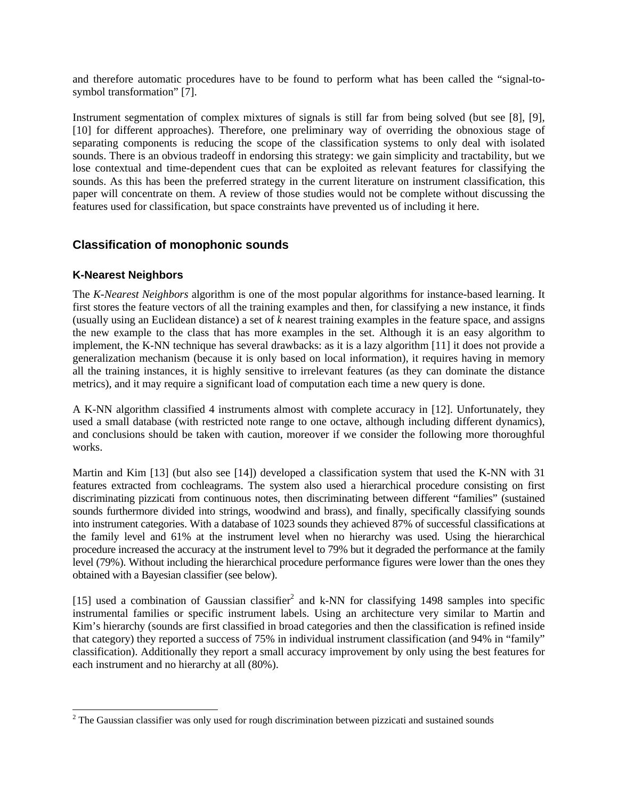and therefore automatic procedures have to be found to perform what has been called the "signal-tosymbol transformation" [7].

Instrument segmentation of complex mixtures of signals is still far from being solved (but see [8], [9], [10] for different approaches). Therefore, one preliminary way of overriding the obnoxious stage of separating components is reducing the scope of the classification systems to only deal with isolated sounds. There is an obvious tradeoff in endorsing this strategy: we gain simplicity and tractability, but we lose contextual and time-dependent cues that can be exploited as relevant features for classifying the sounds. As this has been the preferred strategy in the current literature on instrument classification, this paper will concentrate on them. A review of those studies would not be complete without discussing the features used for classification, but space constraints have prevented us of including it here.

# **Classification of monophonic sounds**

# **K-Nearest Neighbors**

-

The *K-Nearest Neighbors* algorithm is one of the most popular algorithms for instance-based learning. It first stores the feature vectors of all the training examples and then, for classifying a new instance, it finds (usually using an Euclidean distance) a set of *k* nearest training examples in the feature space, and assigns the new example to the class that has more examples in the set. Although it is an easy algorithm to implement, the K-NN technique has several drawbacks: as it is a lazy algorithm [11] it does not provide a generalization mechanism (because it is only based on local information), it requires having in memory all the training instances, it is highly sensitive to irrelevant features (as they can dominate the distance metrics), and it may require a significant load of computation each time a new query is done.

A K-NN algorithm classified 4 instruments almost with complete accuracy in [12]. Unfortunately, they used a small database (with restricted note range to one octave, although including different dynamics), and conclusions should be taken with caution, moreover if we consider the following more thoroughful works.

Martin and Kim [13] (but also see [14]) developed a classification system that used the K-NN with 31 features extracted from cochleagrams. The system also used a hierarchical procedure consisting on first discriminating pizzicati from continuous notes, then discriminating between different "families" (sustained sounds furthermore divided into strings, woodwind and brass), and finally, specifically classifying sounds into instrument categories. With a database of 1023 sounds they achieved 87% of successful classifications at the family level and 61% at the instrument level when no hierarchy was used. Using the hierarchical procedure increased the accuracy at the instrument level to 79% but it degraded the performance at the family level (79%). Without including the hierarchical procedure performance figures were lower than the ones they obtained with a Bayesian classifier (see below).

[15] used a combination of Gaussian classifier<sup>2</sup> and k-NN for classifying 1498 samples into specific instrumental families or specific instrument labels. Using an architecture very similar to Martin and Kim's hierarchy (sounds are first classified in broad categories and then the classification is refined inside that category) they reported a success of 75% in individual instrument classification (and 94% in "family" classification). Additionally they report a small accuracy improvement by only using the best features for each instrument and no hierarchy at all (80%).

 $2$  The Gaussian classifier was only used for rough discrimination between pizzicati and sustained sounds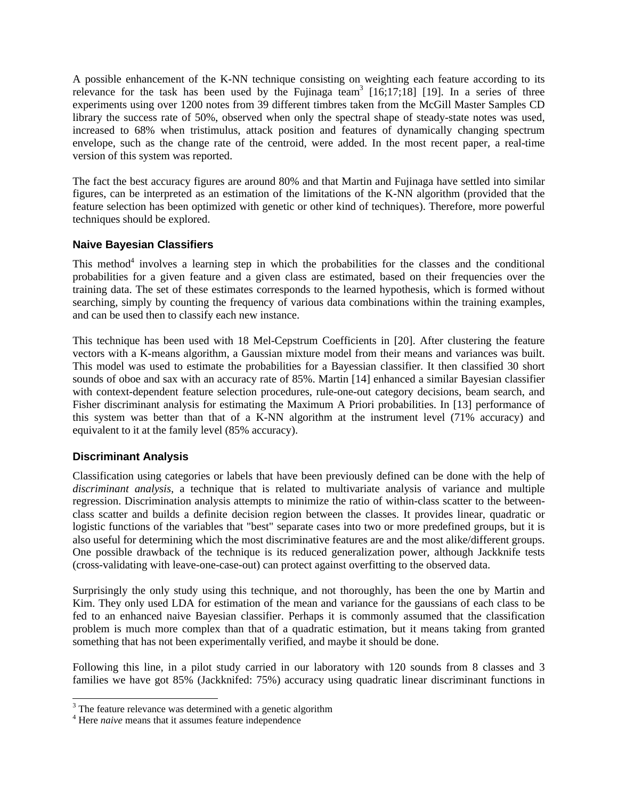A possible enhancement of the K-NN technique consisting on weighting each feature according to its relevance for the task has been used by the Fujinaga team<sup>3</sup> [16;17;18] [19]. In a series of three experiments using over 1200 notes from 39 different timbres taken from the McGill Master Samples CD library the success rate of 50%, observed when only the spectral shape of steady-state notes was used, increased to 68% when tristimulus, attack position and features of dynamically changing spectrum envelope, such as the change rate of the centroid, were added. In the most recent paper, a real-time version of this system was reported.

The fact the best accuracy figures are around 80% and that Martin and Fujinaga have settled into similar figures, can be interpreted as an estimation of the limitations of the K-NN algorithm (provided that the feature selection has been optimized with genetic or other kind of techniques). Therefore, more powerful techniques should be explored.

### **Naive Bayesian Classifiers**

This method<sup>4</sup> involves a learning step in which the probabilities for the classes and the conditional probabilities for a given feature and a given class are estimated, based on their frequencies over the training data. The set of these estimates corresponds to the learned hypothesis, which is formed without searching, simply by counting the frequency of various data combinations within the training examples, and can be used then to classify each new instance.

This technique has been used with 18 Mel-Cepstrum Coefficients in [20]. After clustering the feature vectors with a K-means algorithm, a Gaussian mixture model from their means and variances was built. This model was used to estimate the probabilities for a Bayessian classifier. It then classified 30 short sounds of oboe and sax with an accuracy rate of 85%. Martin [14] enhanced a similar Bayesian classifier with context-dependent feature selection procedures, rule-one-out category decisions, beam search, and Fisher discriminant analysis for estimating the Maximum A Priori probabilities. In [13] performance of this system was better than that of a K-NN algorithm at the instrument level (71% accuracy) and equivalent to it at the family level (85% accuracy).

#### **Discriminant Analysis**

Classification using categories or labels that have been previously defined can be done with the help of *discriminant analysis*, a technique that is related to multivariate analysis of variance and multiple regression. Discrimination analysis attempts to minimize the ratio of within-class scatter to the betweenclass scatter and builds a definite decision region between the classes. It provides linear, quadratic or logistic functions of the variables that "best" separate cases into two or more predefined groups, but it is also useful for determining which the most discriminative features are and the most alike/different groups. One possible drawback of the technique is its reduced generalization power, although Jackknife tests (cross-validating with leave-one-case-out) can protect against overfitting to the observed data.

Surprisingly the only study using this technique, and not thoroughly, has been the one by Martin and Kim. They only used LDA for estimation of the mean and variance for the gaussians of each class to be fed to an enhanced naive Bayesian classifier. Perhaps it is commonly assumed that the classification problem is much more complex than that of a quadratic estimation, but it means taking from granted something that has not been experimentally verified, and maybe it should be done.

Following this line, in a pilot study carried in our laboratory with 120 sounds from 8 classes and 3 families we have got 85% (Jackknifed: 75%) accuracy using quadratic linear discriminant functions in

<sup>&</sup>lt;sup>3</sup> The feature relevance was determined with a genetic algorithm

<sup>&</sup>lt;sup>4</sup> Here *naive* means that it assumes feature independence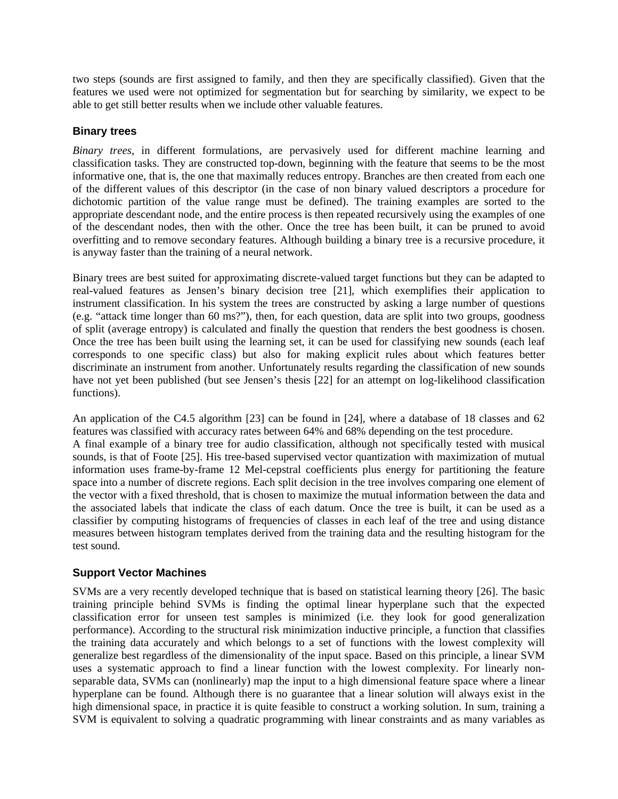two steps (sounds are first assigned to family, and then they are specifically classified). Given that the features we used were not optimized for segmentation but for searching by similarity, we expect to be able to get still better results when we include other valuable features.

#### **Binary trees**

*Binary trees*, in different formulations, are pervasively used for different machine learning and classification tasks. They are constructed top-down, beginning with the feature that seems to be the most informative one, that is, the one that maximally reduces entropy. Branches are then created from each one of the different values of this descriptor (in the case of non binary valued descriptors a procedure for dichotomic partition of the value range must be defined). The training examples are sorted to the appropriate descendant node, and the entire process is then repeated recursively using the examples of one of the descendant nodes, then with the other. Once the tree has been built, it can be pruned to avoid overfitting and to remove secondary features. Although building a binary tree is a recursive procedure, it is anyway faster than the training of a neural network.

Binary trees are best suited for approximating discrete-valued target functions but they can be adapted to real-valued features as Jensen's binary decision tree [21], which exemplifies their application to instrument classification. In his system the trees are constructed by asking a large number of questions (e.g. "attack time longer than 60 ms?"), then, for each question, data are split into two groups, goodness of split (average entropy) is calculated and finally the question that renders the best goodness is chosen. Once the tree has been built using the learning set, it can be used for classifying new sounds (each leaf corresponds to one specific class) but also for making explicit rules about which features better discriminate an instrument from another. Unfortunately results regarding the classification of new sounds have not yet been published (but see Jensen's thesis [22] for an attempt on log-likelihood classification functions).

An application of the C4.5 algorithm [23] can be found in [24], where a database of 18 classes and 62 features was classified with accuracy rates between 64% and 68% depending on the test procedure. A final example of a binary tree for audio classification, although not specifically tested with musical sounds, is that of Foote [25]. His tree-based supervised vector quantization with maximization of mutual information uses frame-by-frame 12 Mel-cepstral coefficients plus energy for partitioning the feature space into a number of discrete regions. Each split decision in the tree involves comparing one element of the vector with a fixed threshold, that is chosen to maximize the mutual information between the data and the associated labels that indicate the class of each datum. Once the tree is built, it can be used as a classifier by computing histograms of frequencies of classes in each leaf of the tree and using distance measures between histogram templates derived from the training data and the resulting histogram for the test sound.

### **Support Vector Machines**

SVMs are a very recently developed technique that is based on statistical learning theory [26]. The basic training principle behind SVMs is finding the optimal linear hyperplane such that the expected classification error for unseen test samples is minimized (i.e*.* they look for good generalization performance). According to the structural risk minimization inductive principle, a function that classifies the training data accurately and which belongs to a set of functions with the lowest complexity will generalize best regardless of the dimensionality of the input space. Based on this principle, a linear SVM uses a systematic approach to find a linear function with the lowest complexity. For linearly nonseparable data, SVMs can (nonlinearly) map the input to a high dimensional feature space where a linear hyperplane can be found. Although there is no guarantee that a linear solution will always exist in the high dimensional space, in practice it is quite feasible to construct a working solution. In sum, training a SVM is equivalent to solving a quadratic programming with linear constraints and as many variables as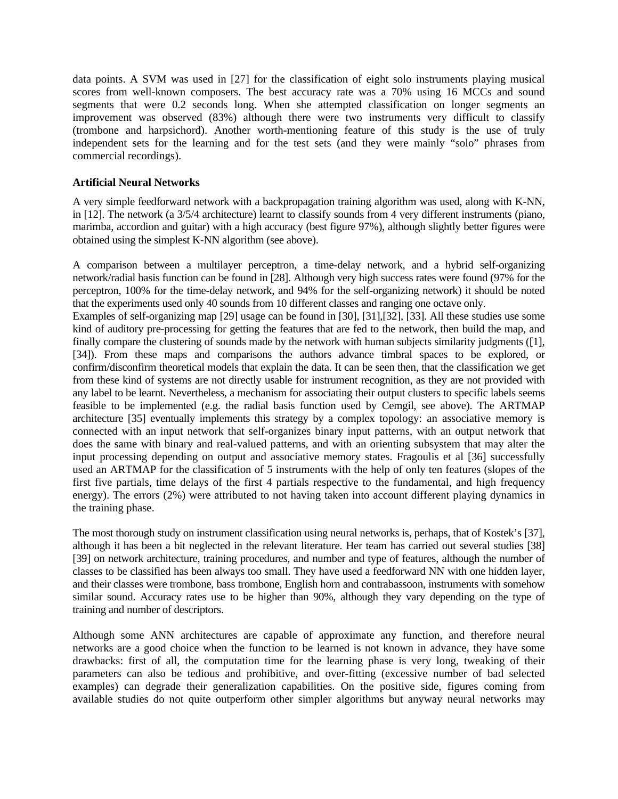data points. A SVM was used in [27] for the classification of eight solo instruments playing musical scores from well-known composers. The best accuracy rate was a 70% using 16 MCCs and sound segments that were 0.2 seconds long. When she attempted classification on longer segments an improvement was observed (83%) although there were two instruments very difficult to classify (trombone and harpsichord). Another worth-mentioning feature of this study is the use of truly independent sets for the learning and for the test sets (and they were mainly "solo" phrases from commercial recordings).

#### **Artificial Neural Networks**

A very simple feedforward network with a backpropagation training algorithm was used, along with K-NN, in [12]. The network (a 3/5/4 architecture) learnt to classify sounds from 4 very different instruments (piano, marimba, accordion and guitar) with a high accuracy (best figure 97%), although slightly better figures were obtained using the simplest K-NN algorithm (see above).

A comparison between a multilayer perceptron, a time-delay network, and a hybrid self-organizing network/radial basis function can be found in [28]. Although very high success rates were found (97% for the perceptron, 100% for the time-delay network, and 94% for the self-organizing network) it should be noted that the experiments used only 40 sounds from 10 different classes and ranging one octave only.

Examples of self-organizing map [29] usage can be found in [30], [31],[32], [33]. All these studies use some kind of auditory pre-processing for getting the features that are fed to the network, then build the map, and finally compare the clustering of sounds made by the network with human subjects similarity judgments ([1], [34]). From these maps and comparisons the authors advance timbral spaces to be explored, or confirm/disconfirm theoretical models that explain the data. It can be seen then, that the classification we get from these kind of systems are not directly usable for instrument recognition, as they are not provided with any label to be learnt. Nevertheless, a mechanism for associating their output clusters to specific labels seems feasible to be implemented (e.g. the radial basis function used by Cemgil, see above). The ARTMAP architecture [35] eventually implements this strategy by a complex topology: an associative memory is connected with an input network that self-organizes binary input patterns, with an output network that does the same with binary and real-valued patterns, and with an orienting subsystem that may alter the input processing depending on output and associative memory states. Fragoulis et al [36] successfully used an ARTMAP for the classification of 5 instruments with the help of only ten features (slopes of the first five partials, time delays of the first 4 partials respective to the fundamental, and high frequency energy). The errors (2%) were attributed to not having taken into account different playing dynamics in the training phase.

The most thorough study on instrument classification using neural networks is, perhaps, that of Kostek's [37], although it has been a bit neglected in the relevant literature. Her team has carried out several studies [38] [39] on network architecture, training procedures, and number and type of features, although the number of classes to be classified has been always too small. They have used a feedforward NN with one hidden layer, and their classes were trombone, bass trombone, English horn and contrabassoon, instruments with somehow similar sound. Accuracy rates use to be higher than 90%, although they vary depending on the type of training and number of descriptors.

Although some ANN architectures are capable of approximate any function, and therefore neural networks are a good choice when the function to be learned is not known in advance, they have some drawbacks: first of all, the computation time for the learning phase is very long, tweaking of their parameters can also be tedious and prohibitive, and over-fitting (excessive number of bad selected examples) can degrade their generalization capabilities. On the positive side, figures coming from available studies do not quite outperform other simpler algorithms but anyway neural networks may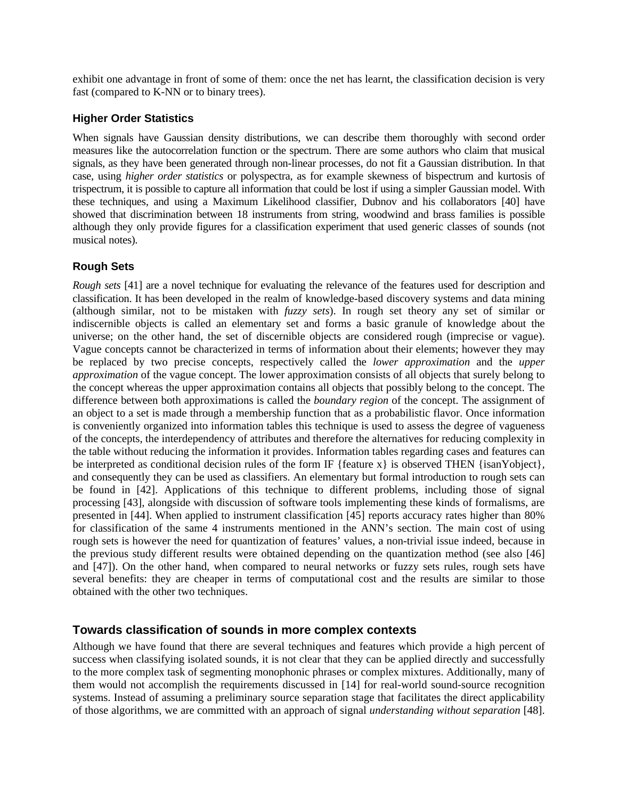exhibit one advantage in front of some of them: once the net has learnt, the classification decision is very fast (compared to K-NN or to binary trees).

#### **Higher Order Statistics**

When signals have Gaussian density distributions, we can describe them thoroughly with second order measures like the autocorrelation function or the spectrum. There are some authors who claim that musical signals, as they have been generated through non-linear processes, do not fit a Gaussian distribution. In that case, using *higher order statistics* or polyspectra, as for example skewness of bispectrum and kurtosis of trispectrum, it is possible to capture all information that could be lost if using a simpler Gaussian model. With these techniques, and using a Maximum Likelihood classifier, Dubnov and his collaborators [40] have showed that discrimination between 18 instruments from string, woodwind and brass families is possible although they only provide figures for a classification experiment that used generic classes of sounds (not musical notes).

### **Rough Sets**

*Rough sets* [41] are a novel technique for evaluating the relevance of the features used for description and classification. It has been developed in the realm of knowledge-based discovery systems and data mining (although similar, not to be mistaken with *fuzzy sets*). In rough set theory any set of similar or indiscernible objects is called an elementary set and forms a basic granule of knowledge about the universe; on the other hand, the set of discernible objects are considered rough (imprecise or vague). Vague concepts cannot be characterized in terms of information about their elements; however they may be replaced by two precise concepts, respectively called the *lower approximation* and the *upper approximation* of the vague concept. The lower approximation consists of all objects that surely belong to the concept whereas the upper approximation contains all objects that possibly belong to the concept. The difference between both approximations is called the *boundary region* of the concept. The assignment of an object to a set is made through a membership function that as a probabilistic flavor. Once information is conveniently organized into information tables this technique is used to assess the degree of vagueness of the concepts, the interdependency of attributes and therefore the alternatives for reducing complexity in the table without reducing the information it provides. Information tables regarding cases and features can be interpreted as conditional decision rules of the form IF {feature x} is observed THEN {isanYobject}, and consequently they can be used as classifiers. An elementary but formal introduction to rough sets can be found in [42]. Applications of this technique to different problems, including those of signal processing [43], alongside with discussion of software tools implementing these kinds of formalisms, are presented in [44]. When applied to instrument classification [45] reports accuracy rates higher than 80% for classification of the same 4 instruments mentioned in the ANN's section. The main cost of using rough sets is however the need for quantization of features' values, a non-trivial issue indeed, because in the previous study different results were obtained depending on the quantization method (see also [46] and [47]). On the other hand, when compared to neural networks or fuzzy sets rules, rough sets have several benefits: they are cheaper in terms of computational cost and the results are similar to those obtained with the other two techniques.

### **Towards classification of sounds in more complex contexts**

Although we have found that there are several techniques and features which provide a high percent of success when classifying isolated sounds, it is not clear that they can be applied directly and successfully to the more complex task of segmenting monophonic phrases or complex mixtures. Additionally, many of them would not accomplish the requirements discussed in [14] for real-world sound-source recognition systems. Instead of assuming a preliminary source separation stage that facilitates the direct applicability of those algorithms, we are committed with an approach of signal *understanding without separation* [48].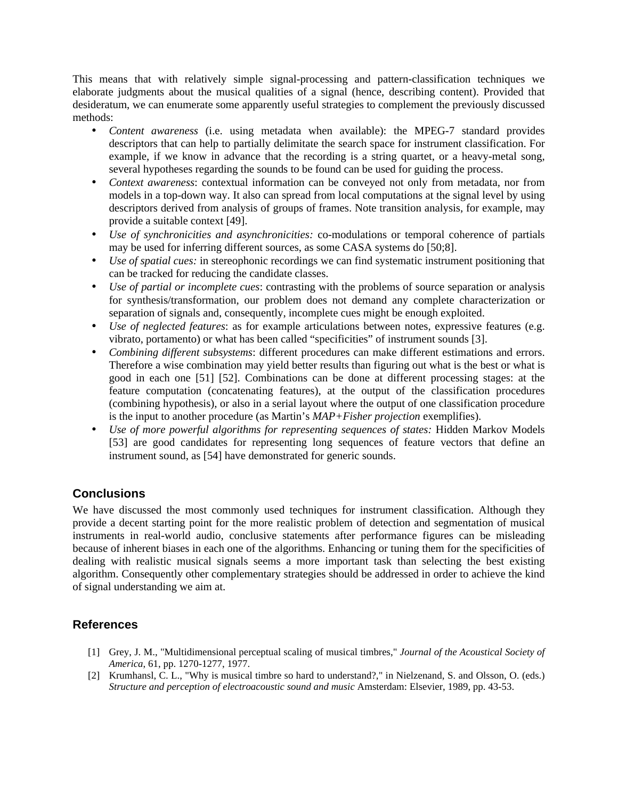This means that with relatively simple signal-processing and pattern-classification techniques we elaborate judgments about the musical qualities of a signal (hence, describing content). Provided that desideratum, we can enumerate some apparently useful strategies to complement the previously discussed methods:

- *Content awareness* (i.e. using metadata when available): the MPEG-7 standard provides descriptors that can help to partially delimitate the search space for instrument classification. For example, if we know in advance that the recording is a string quartet, or a heavy-metal song, several hypotheses regarding the sounds to be found can be used for guiding the process.
- *Context awareness*: contextual information can be conveyed not only from metadata, nor from models in a top-down way. It also can spread from local computations at the signal level by using descriptors derived from analysis of groups of frames. Note transition analysis, for example, may provide a suitable context [49].
- *Use of synchronicities and asynchronicities:* co-modulations or temporal coherence of partials may be used for inferring different sources, as some CASA systems do [50;8].
- *Use of spatial cues:* in stereophonic recordings we can find systematic instrument positioning that can be tracked for reducing the candidate classes.
- *Use of partial or incomplete cues*: contrasting with the problems of source separation or analysis for synthesis/transformation, our problem does not demand any complete characterization or separation of signals and, consequently, incomplete cues might be enough exploited.
- *Use of neglected features*: as for example articulations between notes, expressive features (e.g. vibrato, portamento) or what has been called "specificities" of instrument sounds [3].
- *Combining different subsystems*: different procedures can make different estimations and errors. Therefore a wise combination may yield better results than figuring out what is the best or what is good in each one [51] [52]. Combinations can be done at different processing stages: at the feature computation (concatenating features), at the output of the classification procedures (combining hypothesis), or also in a serial layout where the output of one classification procedure is the input to another procedure (as Martin's *MAP+Fisher projection* exemplifies).
- *Use of more powerful algorithms for representing sequences of states:* Hidden Markov Models [53] are good candidates for representing long sequences of feature vectors that define an instrument sound, as [54] have demonstrated for generic sounds.

# **Conclusions**

We have discussed the most commonly used techniques for instrument classification. Although they provide a decent starting point for the more realistic problem of detection and segmentation of musical instruments in real-world audio, conclusive statements after performance figures can be misleading because of inherent biases in each one of the algorithms. Enhancing or tuning them for the specificities of dealing with realistic musical signals seems a more important task than selecting the best existing algorithm. Consequently other complementary strategies should be addressed in order to achieve the kind of signal understanding we aim at.

# **References**

- [1] Grey, J. M., "Multidimensional perceptual scaling of musical timbres," *Journal of the Acoustical Society of America*, 61, pp. 1270-1277, 1977.
- [2] Krumhansl, C. L., "Why is musical timbre so hard to understand?," in Nielzenand, S. and Olsson, O. (eds.) *Structure and perception of electroacoustic sound and music* Amsterdam: Elsevier, 1989, pp. 43-53.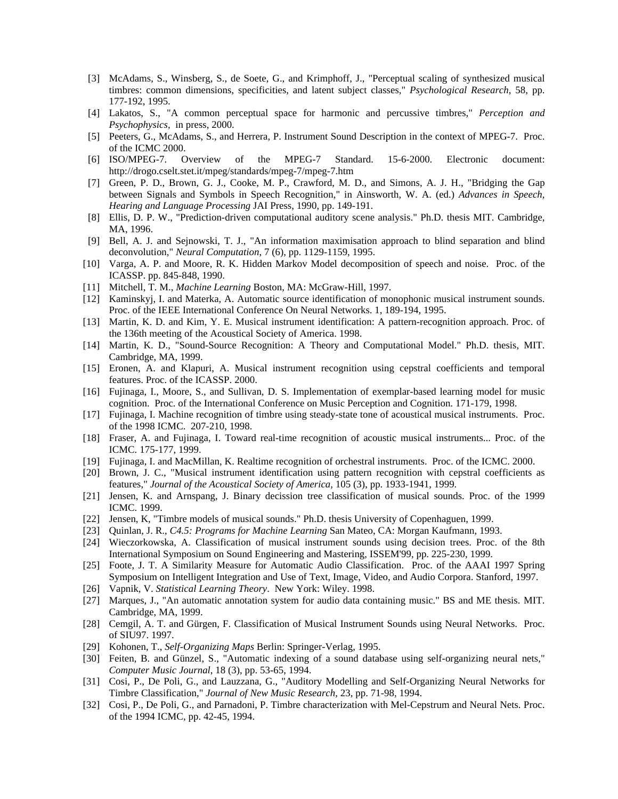- [3] McAdams, S., Winsberg, S., de Soete, G., and Krimphoff, J., "Perceptual scaling of synthesized musical timbres: common dimensions, specificities, and latent subject classes," *Psychological Research*, 58, pp. 177-192, 1995.
- [4] Lakatos, S., "A common perceptual space for harmonic and percussive timbres," *Perception and Psychophysics*, in press, 2000.
- [5] Peeters, G., McAdams, S., and Herrera, P. Instrument Sound Description in the context of MPEG-7. Proc. of the ICMC 2000.
- [6] ISO/MPEG-7. Overview of the MPEG-7 Standard. 15-6-2000. Electronic document: http://drogo.cselt.stet.it/mpeg/standards/mpeg-7/mpeg-7.htm
- [7] Green, P. D., Brown, G. J., Cooke, M. P., Crawford, M. D., and Simons, A. J. H., "Bridging the Gap between Signals and Symbols in Speech Recognition," in Ainsworth, W. A. (ed.) *Advances in Speech, Hearing and Language Processing* JAI Press, 1990, pp. 149-191.
- [8] Ellis, D. P. W., "Prediction-driven computational auditory scene analysis." Ph.D. thesis MIT. Cambridge, MA, 1996.
- [9] Bell, A. J. and Sejnowski, T. J., "An information maximisation approach to blind separation and blind deconvolution," *Neural Computation*, 7 (6), pp. 1129-1159, 1995.
- [10] Varga, A. P. and Moore, R. K. Hidden Markov Model decomposition of speech and noise. Proc. of the ICASSP. pp. 845-848, 1990.
- [11] Mitchell, T. M., *Machine Learning* Boston, MA: McGraw-Hill, 1997.
- [12] Kaminskyj, I. and Materka, A. Automatic source identification of monophonic musical instrument sounds. Proc. of the IEEE International Conference On Neural Networks. 1, 189-194, 1995.
- [13] Martin, K. D. and Kim, Y. E. Musical instrument identification: A pattern-recognition approach. Proc. of the 136th meeting of the Acoustical Society of America. 1998.
- [14] Martin, K. D., "Sound-Source Recognition: A Theory and Computational Model." Ph.D. thesis, MIT. Cambridge, MA, 1999.
- [15] Eronen, A. and Klapuri, A. Musical instrument recognition using cepstral coefficients and temporal features. Proc. of the ICASSP. 2000.
- [16] Fujinaga, I., Moore, S., and Sullivan, D. S. Implementation of exemplar-based learning model for music cognition. Proc. of the International Conference on Music Perception and Cognition. 171-179, 1998.
- [17] Fujinaga, I. Machine recognition of timbre using steady-state tone of acoustical musical instruments. Proc. of the 1998 ICMC. 207-210, 1998.
- [18] Fraser, A. and Fujinaga, I. Toward real-time recognition of acoustic musical instruments... Proc. of the ICMC. 175-177, 1999.
- [19] Fujinaga, I. and MacMillan, K. Realtime recognition of orchestral instruments. Proc. of the ICMC. 2000.
- [20] Brown, J. C., "Musical instrument identification using pattern recognition with cepstral coefficients as features," *Journal of the Acoustical Society of America*, 105 (3), pp. 1933-1941, 1999.
- [21] Jensen, K. and Arnspang, J. Binary decission tree classification of musical sounds. Proc. of the 1999 ICMC. 1999.
- [22] Jensen, K, "Timbre models of musical sounds." Ph.D. thesis University of Copenhaguen, 1999.
- [23] Quinlan, J. R., *C4.5: Programs for Machine Learning* San Mateo, CA: Morgan Kaufmann, 1993.
- [24] Wieczorkowska, A. Classification of musical instrument sounds using decision trees. Proc. of the 8th International Symposium on Sound Engineering and Mastering, ISSEM'99, pp. 225-230, 1999.
- [25] Foote, J. T. A Similarity Measure for Automatic Audio Classification. Proc. of the AAAI 1997 Spring Symposium on Intelligent Integration and Use of Text, Image, Video, and Audio Corpora. Stanford, 1997.
- [26] Vapnik, V. *Statistical Learning Theory*. New York: Wiley. 1998.
- [27] Marques, J., "An automatic annotation system for audio data containing music." BS and ME thesis. MIT. Cambridge, MA, 1999.
- [28] Cemgil, A. T. and Gürgen, F. Classification of Musical Instrument Sounds using Neural Networks. Proc. of SIU97. 1997.
- [29] Kohonen, T., *Self-Organizing Maps* Berlin: Springer-Verlag, 1995.
- [30] Feiten, B. and Günzel, S., "Automatic indexing of a sound database using self-organizing neural nets," *Computer Music Journal*, 18 (3), pp. 53-65, 1994.
- [31] Cosi, P., De Poli, G., and Lauzzana, G., "Auditory Modelling and Self-Organizing Neural Networks for Timbre Classification," *Journal of New Music Research*, 23, pp. 71-98, 1994.
- [32] Cosi, P., De Poli, G., and Parnadoni, P. Timbre characterization with Mel-Cepstrum and Neural Nets. Proc. of the 1994 ICMC, pp. 42-45, 1994.